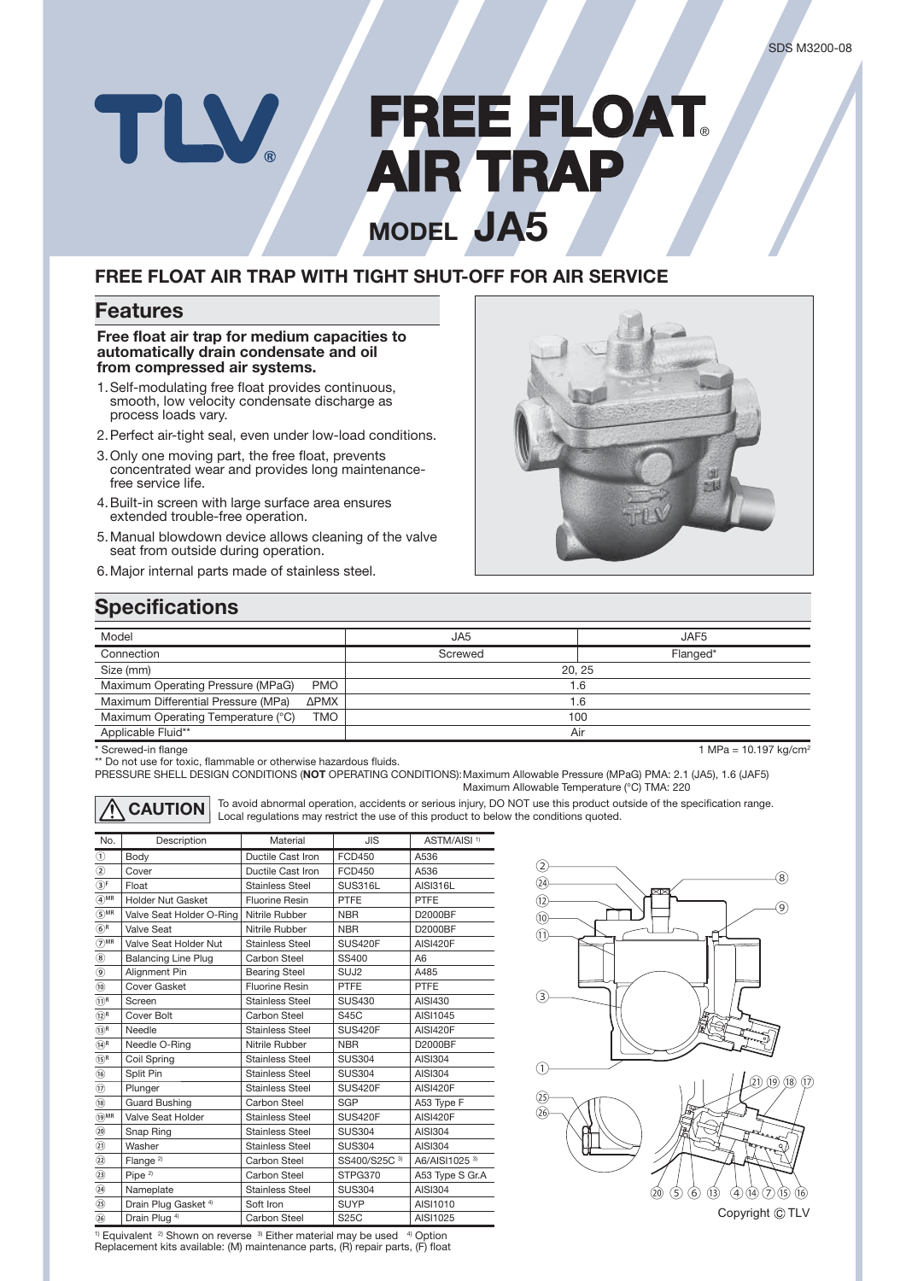# **FREE FLOAT** TLV **AIR TRAP IR MODEL JA5**

### **FREE FLOAT AIR TRAP WITH TIGHT SHUT-OFF FOR AIR SERVICE**

#### **Features**

**Free float air trap for medium capacities to automatically drain condensate and oil from compressed air systems.**

- 1. Self-modulating free float provides continuous, smooth, low velocity condensate discharge as process loads vary.
- 2. Perfect air-tight seal, even under low-load conditions.
- 3. Only one moving part, the free float, prevents concentrated wear and provides long maintenancefree service life.
- 4. Built-in screen with large surface area ensures extended trouble-free operation.
- 5. Manual blowdown device allows cleaning of the valve seat from outside during operation.
- 6. Major internal parts made of stainless steel.



### **Specifications**

| Model                                            | JA <sub>5</sub> | JAF5     |  |  |
|--------------------------------------------------|-----------------|----------|--|--|
| Connection                                       | Screwed         | Flanged* |  |  |
| Size (mm)                                        | 20.25           |          |  |  |
| Maximum Operating Pressure (MPaG)<br><b>PMO</b>  | 1.6             |          |  |  |
| Maximum Differential Pressure (MPa)<br>ΔΡΜΧ      |                 | 1.6      |  |  |
| Maximum Operating Temperature (°C)<br><b>TMO</b> |                 | 100      |  |  |
| Applicable Fluid**                               | Air             |          |  |  |

\* Screwed-in flange 10.197 kg/cm<sup>2</sup> and the stream of the term of the term of the term of the term of the term of the term of the term of the term of the term of the term of the term of the term of the term of term of the

\*\* Do not use for toxic, flammable or otherwise hazardous fluids.

PRESSURE SHELL DESIGN CONDITIONS (**NOT** OPERATING CONDITIONS): Maximum Allowable Pressure (MPaG) PMA: 2.1 (JA5), 1.6 (JAF5) Maximum Allowable Temperature (°C) TMA: 220



**CAUTION** To avoid abnormal operation, accidents or serious injury, DO NOT use this product outside of the specification range. Local regulations may restrict the use of this product to below the conditions quoted.

| No.                         | Description                     | Material               | <b>JIS</b>       | ASTM/AISI <sup>1)</sup> |
|-----------------------------|---------------------------------|------------------------|------------------|-------------------------|
| $^{\circ}$                  | Body                            | Ductile Cast Iron      | FCD450           | A536                    |
| $^{\circledR}$              | Cover                           | Ductile Cast Iron      | <b>FCD450</b>    | A536                    |
| $\circledS^{\mathrm{F}}$    | Float                           | <b>Stainless Steel</b> | SUS316L          | <b>AISI316L</b>         |
| $\overline{4}$ MR           | <b>Holder Nut Gasket</b>        | <b>Fluorine Resin</b>  | PTFE             | PTFE                    |
| $\odot^{\text{MR}}$         | Valve Seat Holder O-Ring        | Nitrile Rubber         | <b>NBR</b>       | D2000BF                 |
| (6) <sup>R</sup>            | <b>Valve Seat</b>               | Nitrile Rubber         | <b>NBR</b>       | D2000BF                 |
| $\widehat{(\mathbf{7})}$ MR | Valve Seat Holder Nut           | <b>Stainless Steel</b> | SUS420F          | <b>AISI420F</b>         |
| $^\circledR$                | <b>Balancing Line Plug</b>      | Carbon Steel           | SS400            | A6                      |
| $\circledcirc$              | Alignment Pin                   | <b>Bearing Steel</b>   | SUJ <sub>2</sub> | A485                    |
| $\circledR$                 | Cover Gasket                    | <b>Fluorine Resin</b>  | PTFE             | PTFE                    |
| (1) <sup>R</sup>            | Screen                          | Stainless Steel        | <b>SUS430</b>    | AISI430                 |
| (12)R                       | Cover Bolt                      | Carbon Steel           | <b>S45C</b>      | AISI1045                |
| (13) <sup>R</sup>           | Needle                          | <b>Stainless Steel</b> | SUS420F          | <b>AISI420F</b>         |
| $(14)$ R                    | Needle O-Ring                   | Nitrile Rubber         | <b>NBR</b>       | D2000BF                 |
| $(15)$ R                    | Coil Spring                     | <b>Stainless Steel</b> | <b>SUS304</b>    | <b>AISI304</b>          |
| $\circled{6}$               | Split Pin                       | <b>Stainless Steel</b> | <b>SUS304</b>    | AISI304                 |
| $\circled{1}$               | Plunger                         | Stainless Steel        | SUS420F          | <b>AISI420F</b>         |
| (18)                        | <b>Guard Bushing</b>            | Carbon Steel           | <b>SGP</b>       | A53 Type F              |
| $\widehat{(19)}$ MR         | Valve Seat Holder               | <b>Stainless Steel</b> | <b>SUS420F</b>   | <b>AISI420F</b>         |
| $\circledcirc$              | Snap Ring                       | <b>Stainless Steel</b> | <b>SUS304</b>    | AISI304                 |
| $\circled{1}$               | Washer                          | <b>Stainless Steel</b> | <b>SUS304</b>    | AISI304                 |
| $\circled{2}$               | Flange <sup>2)</sup>            | Carbon Steel           | SS400/S25C 3)    | A6/AISI1025 3)          |
| $\circled{3}$               | Pipe <sup>2)</sup>              | Carbon Steel           | STPG370          | A53 Type S Gr.A         |
| $\circled{3}$               | Nameplate                       | <b>Stainless Steel</b> | <b>SUS304</b>    | AISI304                 |
| $\circled{25}$              | Drain Plug Gasket <sup>4)</sup> | Soft Iron              | <b>SUYP</b>      | AISI1010                |
| (26)                        | Drain Plug <sup>4)</sup>        | Carbon Steel           | <b>S25C</b>      | AISI1025                |



<sup>1)</sup> Equivalent <sup>2)</sup> Shown on reverse <sup>3)</sup> Either material may be used <sup>4)</sup> Option<br>Replacement kits available: (M) maintenance parts, (R) repair parts, (F) float